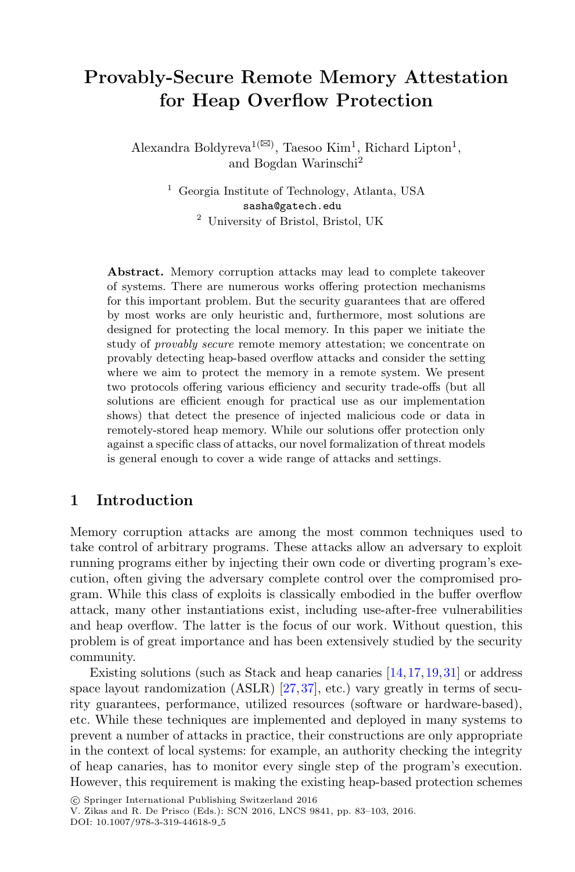# **Provably-Secure Remote Memory Attestation for Heap Overflow Protection**

Alexandra Boldyreva<sup>1( $\boxtimes$ )</sup>, Taesoo Kim<sup>1</sup>, Richard Lipton<sup>1</sup>, and Bogdan Warinschi<sup>2</sup>

> <sup>1</sup> Georgia Institute of Technology, Atlanta, USA sasha@gatech.edu<br><sup>2</sup> University of Bristol, Bristol, UK

**Abstract.** Memory corruption attacks may lead to complete takeover of systems. There are numerous works offering protection mechanisms for this important problem. But the security guarantees that are offered by most works are only heuristic and, furthermore, most solutions are designed for protecting the local memory. In this paper we initiate the study of *provably secure* remote memory attestation; we concentrate on provably detecting heap-based overflow attacks and consider the setting where we aim to protect the memory in a remote system. We present two protocols offering various efficiency and security trade-offs (but all solutions are efficient enough for practical use as our implementation shows) that detect the presence of injected malicious code or data in remotely-stored heap memory. While our solutions offer protection only against a specific class of attacks, our novel formalization of threat models is general enough to cover a wide range of attacks and settings.

#### **1 Introduction**

Memory corruption attacks are among the most common techniques used to take control of arbitrary programs. These attacks allow an adversary to exploit running programs either by injecting their own code or diverting program's execution, often giving the adversary complete control over the compromised program. While this class of exploits is classically embodied in the buffer overflow attack, many other instantiations exist, including use-after-free vulnerabilities and heap overflow. The latter is the focus of our work. Without question, this problem is of great importance and has been extensively studied by the security community.

Existing solutions (such as Stack and heap canaries [\[14,](#page-19-0)[17](#page-19-1)[,19](#page-19-2)[,31](#page-20-0)] or address space layout randomization (ASLR) [\[27](#page-20-1)[,37](#page-20-2)], etc.) vary greatly in terms of security guarantees, performance, utilized resources (software or hardware-based), etc. While these techniques are implemented and deployed in many systems to prevent a number of attacks in practice, their constructions are only appropriate in the context of local systems: for example, an authority checking the integrity of heap canaries, has to monitor every single step of the program's execution. However, this requirement is making the existing heap-based protection schemes

<sup>-</sup>c Springer International Publishing Switzerland 2016

V. Zikas and R. De Prisco (Eds.): SCN 2016, LNCS 9841, pp. 83–103, 2016. DOI: 10.1007/978-3-319-44618-9 5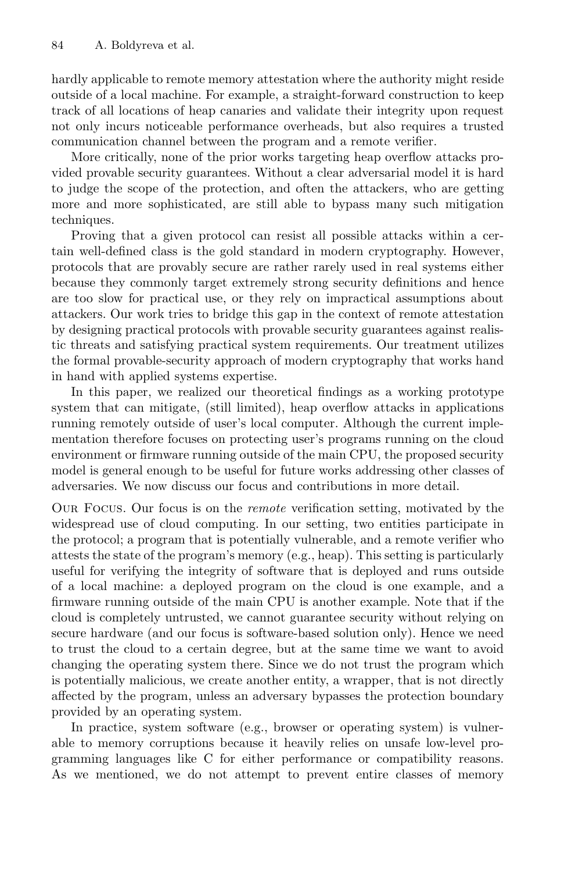hardly applicable to remote memory attestation where the authority might reside outside of a local machine. For example, a straight-forward construction to keep track of all locations of heap canaries and validate their integrity upon request not only incurs noticeable performance overheads, but also requires a trusted communication channel between the program and a remote verifier.

More critically, none of the prior works targeting heap overflow attacks provided provable security guarantees. Without a clear adversarial model it is hard to judge the scope of the protection, and often the attackers, who are getting more and more sophisticated, are still able to bypass many such mitigation techniques.

Proving that a given protocol can resist all possible attacks within a certain well-defined class is the gold standard in modern cryptography. However, protocols that are provably secure are rather rarely used in real systems either because they commonly target extremely strong security definitions and hence are too slow for practical use, or they rely on impractical assumptions about attackers. Our work tries to bridge this gap in the context of remote attestation by designing practical protocols with provable security guarantees against realistic threats and satisfying practical system requirements. Our treatment utilizes the formal provable-security approach of modern cryptography that works hand in hand with applied systems expertise.

In this paper, we realized our theoretical findings as a working prototype system that can mitigate, (still limited), heap overflow attacks in applications running remotely outside of user's local computer. Although the current implementation therefore focuses on protecting user's programs running on the cloud environment or firmware running outside of the main CPU, the proposed security model is general enough to be useful for future works addressing other classes of adversaries. We now discuss our focus and contributions in more detail.

Our Focus. Our focus is on the *remote* verification setting, motivated by the widespread use of cloud computing. In our setting, two entities participate in the protocol; a program that is potentially vulnerable, and a remote verifier who attests the state of the program's memory (e.g., heap). This setting is particularly useful for verifying the integrity of software that is deployed and runs outside of a local machine: a deployed program on the cloud is one example, and a firmware running outside of the main CPU is another example. Note that if the cloud is completely untrusted, we cannot guarantee security without relying on secure hardware (and our focus is software-based solution only). Hence we need to trust the cloud to a certain degree, but at the same time we want to avoid changing the operating system there. Since we do not trust the program which is potentially malicious, we create another entity, a wrapper, that is not directly affected by the program, unless an adversary bypasses the protection boundary provided by an operating system.

In practice, system software (e.g., browser or operating system) is vulnerable to memory corruptions because it heavily relies on unsafe low-level programming languages like C for either performance or compatibility reasons. As we mentioned, we do not attempt to prevent entire classes of memory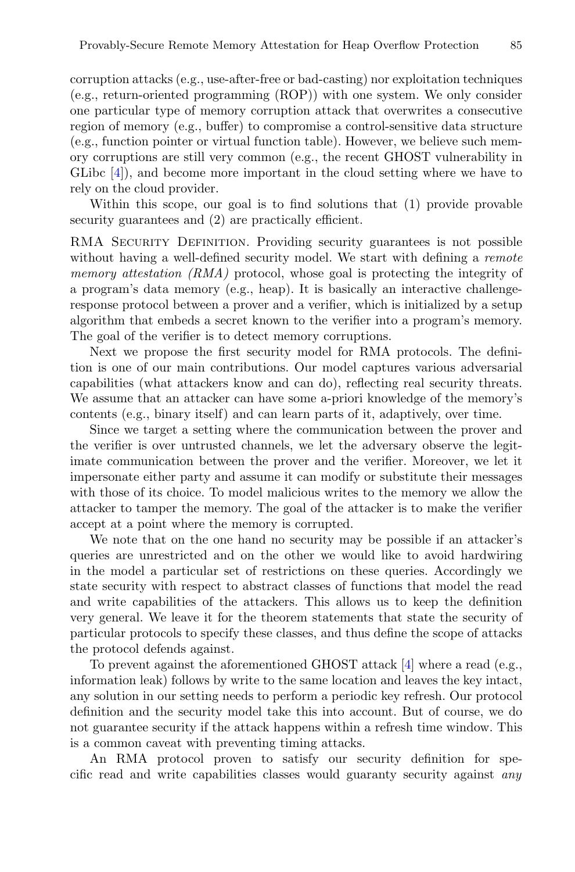corruption attacks (e.g., use-after-free or bad-casting) nor exploitation techniques (e.g., return-oriented programming (ROP)) with one system. We only consider one particular type of memory corruption attack that overwrites a consecutive region of memory (e.g., buffer) to compromise a control-sensitive data structure (e.g., function pointer or virtual function table). However, we believe such memory corruptions are still very common (e.g., the recent GHOST vulnerability in GLibc [\[4](#page-18-0)]), and become more important in the cloud setting where we have to rely on the cloud provider.

Within this scope, our goal is to find solutions that (1) provide provable security guarantees and (2) are practically efficient.

RMA SECURITY DEFINITION. Providing security guarantees is not possible without having a well-defined security model. We start with defining a *remote memory attestation (RMA)* protocol, whose goal is protecting the integrity of a program's data memory (e.g., heap). It is basically an interactive challengeresponse protocol between a prover and a verifier, which is initialized by a setup algorithm that embeds a secret known to the verifier into a program's memory. The goal of the verifier is to detect memory corruptions.

Next we propose the first security model for RMA protocols. The definition is one of our main contributions. Our model captures various adversarial capabilities (what attackers know and can do), reflecting real security threats. We assume that an attacker can have some a-priori knowledge of the memory's contents (e.g., binary itself) and can learn parts of it, adaptively, over time.

Since we target a setting where the communication between the prover and the verifier is over untrusted channels, we let the adversary observe the legitimate communication between the prover and the verifier. Moreover, we let it impersonate either party and assume it can modify or substitute their messages with those of its choice. To model malicious writes to the memory we allow the attacker to tamper the memory. The goal of the attacker is to make the verifier accept at a point where the memory is corrupted.

We note that on the one hand no security may be possible if an attacker's queries are unrestricted and on the other we would like to avoid hardwiring in the model a particular set of restrictions on these queries. Accordingly we state security with respect to abstract classes of functions that model the read and write capabilities of the attackers. This allows us to keep the definition very general. We leave it for the theorem statements that state the security of particular protocols to specify these classes, and thus define the scope of attacks the protocol defends against.

To prevent against the aforementioned GHOST attack  $[4]$  $[4]$  where a read (e.g., information leak) follows by write to the same location and leaves the key intact, any solution in our setting needs to perform a periodic key refresh. Our protocol definition and the security model take this into account. But of course, we do not guarantee security if the attack happens within a refresh time window. This is a common caveat with preventing timing attacks.

An RMA protocol proven to satisfy our security definition for specific read and write capabilities classes would guaranty security against *any*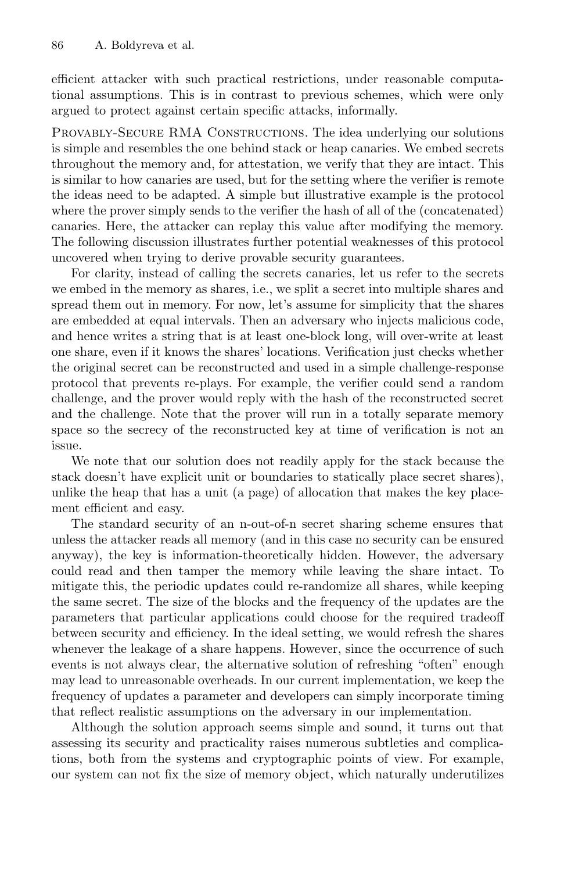efficient attacker with such practical restrictions, under reasonable computational assumptions. This is in contrast to previous schemes, which were only argued to protect against certain specific attacks, informally.

PROVABLY-SECURE RMA CONSTRUCTIONS. The idea underlying our solutions is simple and resembles the one behind stack or heap canaries. We embed secrets throughout the memory and, for attestation, we verify that they are intact. This is similar to how canaries are used, but for the setting where the verifier is remote the ideas need to be adapted. A simple but illustrative example is the protocol where the prover simply sends to the verifier the hash of all of the (concatenated) canaries. Here, the attacker can replay this value after modifying the memory. The following discussion illustrates further potential weaknesses of this protocol uncovered when trying to derive provable security guarantees.

For clarity, instead of calling the secrets canaries, let us refer to the secrets we embed in the memory as shares, i.e., we split a secret into multiple shares and spread them out in memory. For now, let's assume for simplicity that the shares are embedded at equal intervals. Then an adversary who injects malicious code, and hence writes a string that is at least one-block long, will over-write at least one share, even if it knows the shares' locations. Verification just checks whether the original secret can be reconstructed and used in a simple challenge-response protocol that prevents re-plays. For example, the verifier could send a random challenge, and the prover would reply with the hash of the reconstructed secret and the challenge. Note that the prover will run in a totally separate memory space so the secrecy of the reconstructed key at time of verification is not an issue.

We note that our solution does not readily apply for the stack because the stack doesn't have explicit unit or boundaries to statically place secret shares), unlike the heap that has a unit (a page) of allocation that makes the key placement efficient and easy.

The standard security of an n-out-of-n secret sharing scheme ensures that unless the attacker reads all memory (and in this case no security can be ensured anyway), the key is information-theoretically hidden. However, the adversary could read and then tamper the memory while leaving the share intact. To mitigate this, the periodic updates could re-randomize all shares, while keeping the same secret. The size of the blocks and the frequency of the updates are the parameters that particular applications could choose for the required tradeoff between security and efficiency. In the ideal setting, we would refresh the shares whenever the leakage of a share happens. However, since the occurrence of such events is not always clear, the alternative solution of refreshing "often" enough may lead to unreasonable overheads. In our current implementation, we keep the frequency of updates a parameter and developers can simply incorporate timing that reflect realistic assumptions on the adversary in our implementation.

Although the solution approach seems simple and sound, it turns out that assessing its security and practicality raises numerous subtleties and complications, both from the systems and cryptographic points of view. For example, our system can not fix the size of memory object, which naturally underutilizes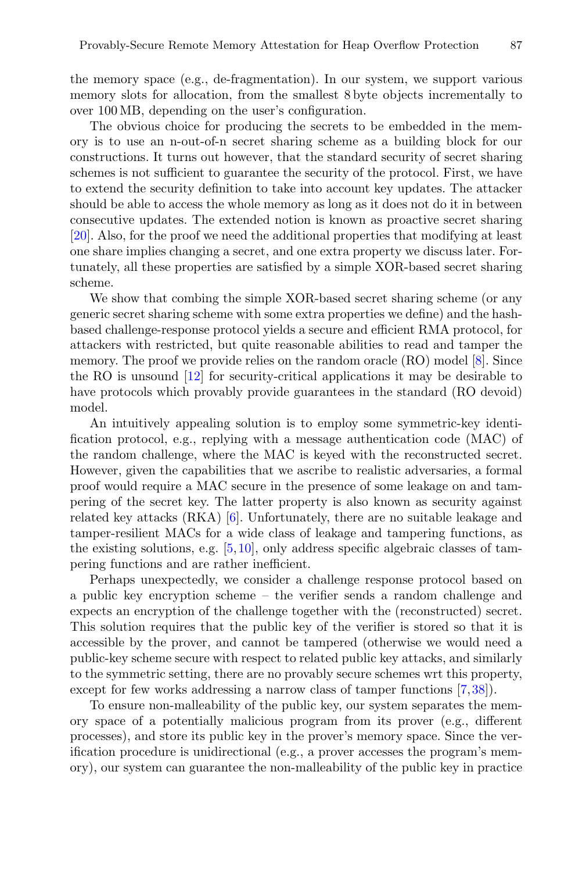the memory space (e.g., de-fragmentation). In our system, we support various memory slots for allocation, from the smallest 8 byte objects incrementally to over 100 MB, depending on the user's configuration.

The obvious choice for producing the secrets to be embedded in the memory is to use an n-out-of-n secret sharing scheme as a building block for our constructions. It turns out however, that the standard security of secret sharing schemes is not sufficient to guarantee the security of the protocol. First, we have to extend the security definition to take into account key updates. The attacker should be able to access the whole memory as long as it does not do it in between consecutive updates. The extended notion is known as proactive secret sharing [\[20](#page-19-3)]. Also, for the proof we need the additional properties that modifying at least one share implies changing a secret, and one extra property we discuss later. Fortunately, all these properties are satisfied by a simple XOR-based secret sharing scheme.

We show that combing the simple XOR-based secret sharing scheme (or any generic secret sharing scheme with some extra properties we define) and the hashbased challenge-response protocol yields a secure and efficient RMA protocol, for attackers with restricted, but quite reasonable abilities to read and tamper the memory. The proof we provide relies on the random oracle (RO) model [\[8](#page-18-1)]. Since the RO is unsound [\[12](#page-19-4)] for security-critical applications it may be desirable to have protocols which provably provide guarantees in the standard (RO devoid) model.

An intuitively appealing solution is to employ some symmetric-key identification protocol, e.g., replying with a message authentication code (MAC) of the random challenge, where the MAC is keyed with the reconstructed secret. However, given the capabilities that we ascribe to realistic adversaries, a formal proof would require a MAC secure in the presence of some leakage on and tampering of the secret key. The latter property is also known as security against related key attacks (RKA) [\[6](#page-18-2)]. Unfortunately, there are no suitable leakage and tamper-resilient MACs for a wide class of leakage and tampering functions, as the existing solutions, e.g.  $[5,10]$  $[5,10]$  $[5,10]$ , only address specific algebraic classes of tampering functions and are rather inefficient.

Perhaps unexpectedly, we consider a challenge response protocol based on a public key encryption scheme – the verifier sends a random challenge and expects an encryption of the challenge together with the (reconstructed) secret. This solution requires that the public key of the verifier is stored so that it is accessible by the prover, and cannot be tampered (otherwise we would need a public-key scheme secure with respect to related public key attacks, and similarly to the symmetric setting, there are no provably secure schemes wrt this property, except for few works addressing a narrow class of tamper functions [\[7](#page-18-4),[38\]](#page-20-3)).

To ensure non-malleability of the public key, our system separates the memory space of a potentially malicious program from its prover (e.g., different processes), and store its public key in the prover's memory space. Since the verification procedure is unidirectional (e.g., a prover accesses the program's memory), our system can guarantee the non-malleability of the public key in practice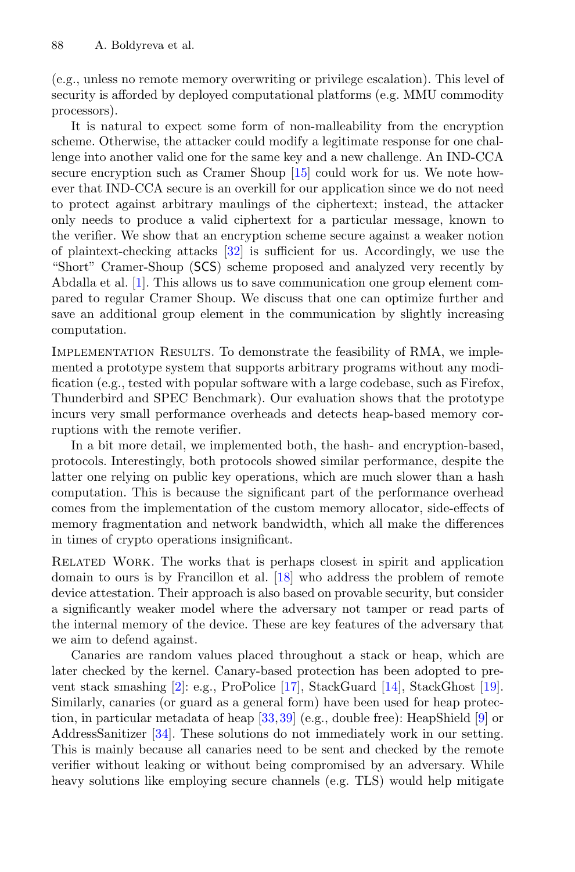(e.g., unless no remote memory overwriting or privilege escalation). This level of security is afforded by deployed computational platforms (e.g. MMU commodity processors).

It is natural to expect some form of non-malleability from the encryption scheme. Otherwise, the attacker could modify a legitimate response for one challenge into another valid one for the same key and a new challenge. An IND-CCA secure encryption such as Cramer Shoup [\[15\]](#page-19-6) could work for us. We note however that IND-CCA secure is an overkill for our application since we do not need to protect against arbitrary maulings of the ciphertext; instead, the attacker only needs to produce a valid ciphertext for a particular message, known to the verifier. We show that an encryption scheme secure against a weaker notion of plaintext-checking attacks [\[32\]](#page-20-4) is sufficient for us. Accordingly, we use the "Short" Cramer-Shoup (SCS) scheme proposed and analyzed very recently by Abdalla et al. [\[1\]](#page-18-5). This allows us to save communication one group element compared to regular Cramer Shoup. We discuss that one can optimize further and save an additional group element in the communication by slightly increasing computation.

Implementation Results. To demonstrate the feasibility of RMA, we implemented a prototype system that supports arbitrary programs without any modification (e.g., tested with popular software with a large codebase, such as Firefox, Thunderbird and SPEC Benchmark). Our evaluation shows that the prototype incurs very small performance overheads and detects heap-based memory corruptions with the remote verifier.

In a bit more detail, we implemented both, the hash- and encryption-based, protocols. Interestingly, both protocols showed similar performance, despite the latter one relying on public key operations, which are much slower than a hash computation. This is because the significant part of the performance overhead comes from the implementation of the custom memory allocator, side-effects of memory fragmentation and network bandwidth, which all make the differences in times of crypto operations insignificant.

Related Work. The works that is perhaps closest in spirit and application domain to ours is by Francillon et al. [\[18\]](#page-19-7) who address the problem of remote device attestation. Their approach is also based on provable security, but consider a significantly weaker model where the adversary not tamper or read parts of the internal memory of the device. These are key features of the adversary that we aim to defend against.

Canaries are random values placed throughout a stack or heap, which are later checked by the kernel. Canary-based protection has been adopted to prevent stack smashing [\[2\]](#page-18-6): e.g., ProPolice [\[17](#page-19-1)], StackGuard [\[14](#page-19-0)], StackGhost [\[19\]](#page-19-2). Similarly, canaries (or guard as a general form) have been used for heap protection, in particular metadata of heap [\[33](#page-20-5),[39\]](#page-20-6) (e.g., double free): HeapShield [\[9\]](#page-19-8) or AddressSanitizer [\[34\]](#page-20-7). These solutions do not immediately work in our setting. This is mainly because all canaries need to be sent and checked by the remote verifier without leaking or without being compromised by an adversary. While heavy solutions like employing secure channels (e.g. TLS) would help mitigate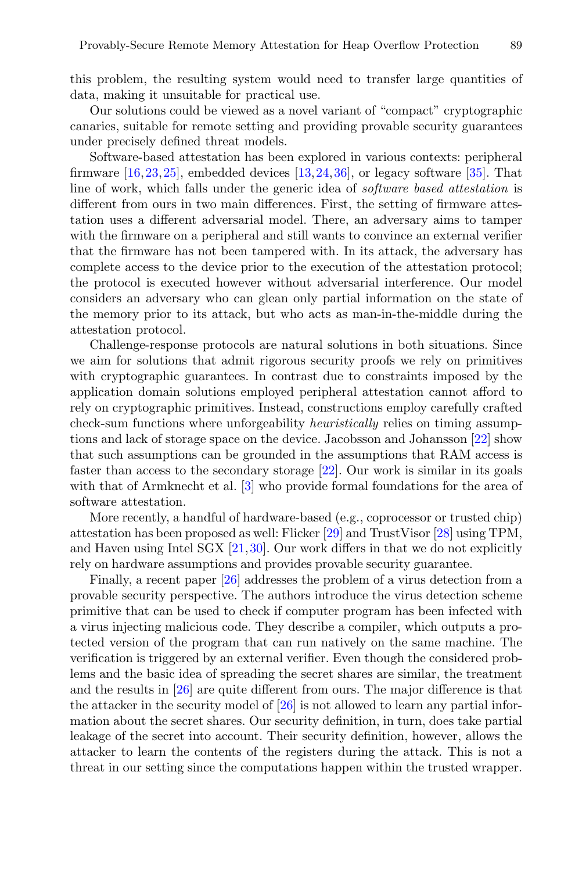this problem, the resulting system would need to transfer large quantities of data, making it unsuitable for practical use.

Our solutions could be viewed as a novel variant of "compact" cryptographic canaries, suitable for remote setting and providing provable security guarantees under precisely defined threat models.

Software-based attestation has been explored in various contexts: peripheral firmware  $[16, 23, 25]$  $[16, 23, 25]$  $[16, 23, 25]$ , embedded devices  $[13, 24, 36]$  $[13, 24, 36]$  $[13, 24, 36]$  $[13, 24, 36]$ , or legacy software  $[35]$ . That line of work, which falls under the generic idea of *software based attestation* is different from ours in two main differences. First, the setting of firmware attestation uses a different adversarial model. There, an adversary aims to tamper with the firmware on a peripheral and still wants to convince an external verifier that the firmware has not been tampered with. In its attack, the adversary has complete access to the device prior to the execution of the attestation protocol; the protocol is executed however without adversarial interference. Our model considers an adversary who can glean only partial information on the state of the memory prior to its attack, but who acts as man-in-the-middle during the attestation protocol.

Challenge-response protocols are natural solutions in both situations. Since we aim for solutions that admit rigorous security proofs we rely on primitives with cryptographic guarantees. In contrast due to constraints imposed by the application domain solutions employed peripheral attestation cannot afford to rely on cryptographic primitives. Instead, constructions employ carefully crafted check-sum functions where unforgeability *heuristically* relies on timing assumptions and lack of storage space on the device. Jacobsson and Johansson [\[22\]](#page-19-14) show that such assumptions can be grounded in the assumptions that RAM access is faster than access to the secondary storage [\[22](#page-19-14)]. Our work is similar in its goals with that of Armknecht et al. [\[3](#page-18-7)] who provide formal foundations for the area of software attestation.

More recently, a handful of hardware-based (e.g., coprocessor or trusted chip) attestation has been proposed as well: Flicker [\[29\]](#page-20-10) and TrustVisor [\[28\]](#page-20-11) using TPM, and Haven using Intel SGX  $[21,30]$  $[21,30]$  $[21,30]$ . Our work differs in that we do not explicitly rely on hardware assumptions and provides provable security guarantee.

Finally, a recent paper [\[26](#page-20-13)] addresses the problem of a virus detection from a provable security perspective. The authors introduce the virus detection scheme primitive that can be used to check if computer program has been infected with a virus injecting malicious code. They describe a compiler, which outputs a protected version of the program that can run natively on the same machine. The verification is triggered by an external verifier. Even though the considered problems and the basic idea of spreading the secret shares are similar, the treatment and the results in [\[26\]](#page-20-13) are quite different from ours. The major difference is that the attacker in the security model of [\[26](#page-20-13)] is not allowed to learn any partial information about the secret shares. Our security definition, in turn, does take partial leakage of the secret into account. Their security definition, however, allows the attacker to learn the contents of the registers during the attack. This is not a threat in our setting since the computations happen within the trusted wrapper.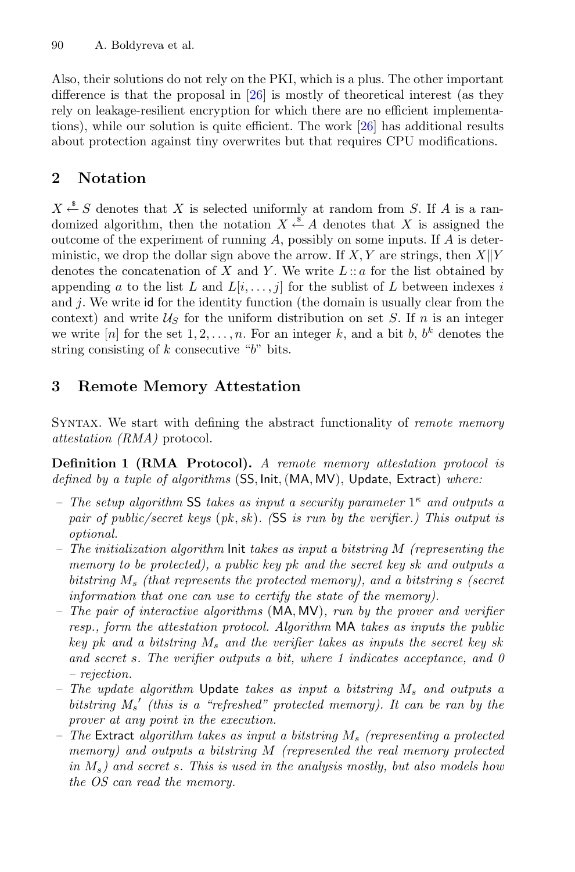Also, their solutions do not rely on the PKI, which is a plus. The other important difference is that the proposal in [\[26\]](#page-20-13) is mostly of theoretical interest (as they rely on leakage-resilient encryption for which there are no efficient implementations), while our solution is quite efficient. The work [\[26\]](#page-20-13) has additional results about protection against tiny overwrites but that requires CPU modifications.

## **2 Notation**

 $X \stackrel{s}{\leftarrow} S$  denotes that X is selected uniformly at random from S. If A is a randomized algorithm, then the notation  $X \stackrel{s}{\leftarrow} A$  denotes that X is assigned the outcome of the experiment of running  $A$ , possibly on some inputs. If  $A$  is deterministic, we drop the dollar sign above the arrow. If X, Y are strings, then  $X||Y$ denotes the concatenation of X and Y. We write  $L::a$  for the list obtained by appending a to the list L and  $L[i, \ldots, j]$  for the sublist of L between indexes i and  $j$ . We write id for the identity function (the domain is usually clear from the context) and write  $\mathcal{U}_S$  for the uniform distribution on set S. If n is an integer we write [n] for the set  $1, 2, ..., n$ . For an integer k, and a bit b,  $b^k$  denotes the string consisting of  $k$  consecutive " $b$ " bits.

## **3 Remote Memory Attestation**

Syntax. We start with defining the abstract functionality of *remote memory attestation (RMA)* protocol.

**Definition 1 (RMA Protocol).** *A remote memory attestation protocol is defined by a tuple of algorithms* (SS, Init,(MA, MV), Update, Extract) *where:*

- *The setup algorithm* SS *takes as input a security parameter* 1<sup>κ</sup> *and outputs a pair of public/secret keys* (*pk*, *sk*)*. (*SS *is run by the verifier.) This output is optional.*
- *The initialization algorithm* Init *takes as input a bitstring* M *(representing the memory to be protected), a public key pk and the secret key sk and outputs a bitstring* M<sup>s</sup> *(that represents the protected memory), and a bitstring* s *(secret information that one can use to certify the state of the memory).*
- *The pair of interactive algorithms* (MA, MV)*, run by the prover and verifier resp., form the attestation protocol. Algorithm* MA *takes as inputs the public key pk and a bitstring* M<sup>s</sup> *and the verifier takes as inputs the secret key sk and secret* s*. The verifier outputs a bit, where 1 indicates acceptance, and 0 – rejection.*
- *The update algorithm* Update *takes as input a bitstring* M<sup>s</sup> *and outputs a bitstring M<sup>s</sup> (this is a "refreshed" protected memory). It can be ran by the prover at any point in the execution.*
- *The* Extract *algorithm takes as input a bitstring* M<sup>s</sup> *(representing a protected memory) and outputs a bitstring* M *(represented the real memory protected in* Ms*) and secret* s*. This is used in the analysis mostly, but also models how the OS can read the memory.*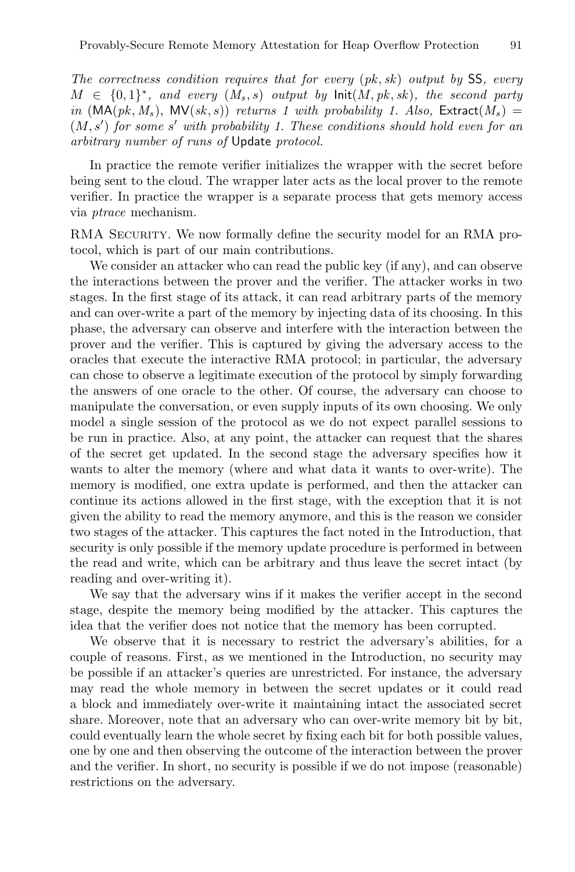*The correctness condition requires that for every* (*pk*, *sk*) *output by* SS*, every*  $M$  ∈ {0,1}<sup>\*</sup>, and every  $(M_s, s)$  *output by* lnit(M, *pk*, *sk*), the second party *in*  $(MA(pk, M_s), MV(sk, s)$  *returns 1 with probability 1. Also,* Extract $(M_s)$  =  $(M, s')$  for some s' with probability 1. These conditions should hold even for an *arbitrary number of runs of* Update *protocol.*

In practice the remote verifier initializes the wrapper with the secret before being sent to the cloud. The wrapper later acts as the local prover to the remote verifier. In practice the wrapper is a separate process that gets memory access via *ptrace* mechanism.

RMA SECURITY. We now formally define the security model for an RMA protocol, which is part of our main contributions.

We consider an attacker who can read the public key (if any), and can observe the interactions between the prover and the verifier. The attacker works in two stages. In the first stage of its attack, it can read arbitrary parts of the memory and can over-write a part of the memory by injecting data of its choosing. In this phase, the adversary can observe and interfere with the interaction between the prover and the verifier. This is captured by giving the adversary access to the oracles that execute the interactive RMA protocol; in particular, the adversary can chose to observe a legitimate execution of the protocol by simply forwarding the answers of one oracle to the other. Of course, the adversary can choose to manipulate the conversation, or even supply inputs of its own choosing. We only model a single session of the protocol as we do not expect parallel sessions to be run in practice. Also, at any point, the attacker can request that the shares of the secret get updated. In the second stage the adversary specifies how it wants to alter the memory (where and what data it wants to over-write). The memory is modified, one extra update is performed, and then the attacker can continue its actions allowed in the first stage, with the exception that it is not given the ability to read the memory anymore, and this is the reason we consider two stages of the attacker. This captures the fact noted in the Introduction, that security is only possible if the memory update procedure is performed in between the read and write, which can be arbitrary and thus leave the secret intact (by reading and over-writing it).

We say that the adversary wins if it makes the verifier accept in the second stage, despite the memory being modified by the attacker. This captures the idea that the verifier does not notice that the memory has been corrupted.

We observe that it is necessary to restrict the adversary's abilities, for a couple of reasons. First, as we mentioned in the Introduction, no security may be possible if an attacker's queries are unrestricted. For instance, the adversary may read the whole memory in between the secret updates or it could read a block and immediately over-write it maintaining intact the associated secret share. Moreover, note that an adversary who can over-write memory bit by bit, could eventually learn the whole secret by fixing each bit for both possible values, one by one and then observing the outcome of the interaction between the prover and the verifier. In short, no security is possible if we do not impose (reasonable) restrictions on the adversary.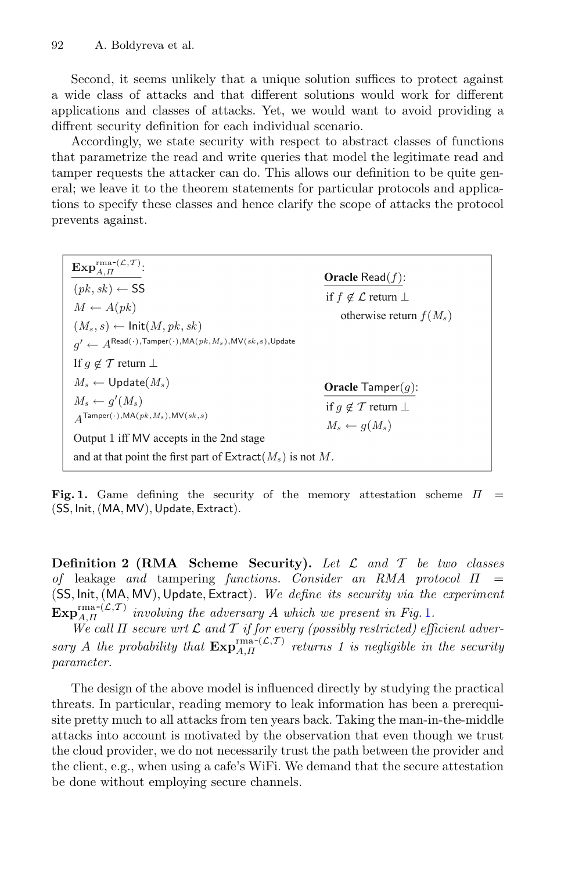Second, it seems unlikely that a unique solution suffices to protect against a wide class of attacks and that different solutions would work for different applications and classes of attacks. Yet, we would want to avoid providing a diffrent security definition for each individual scenario.

Accordingly, we state security with respect to abstract classes of functions that parametrize the read and write queries that model the legitimate read and tamper requests the attacker can do. This allows our definition to be quite general; we leave it to the theorem statements for particular protocols and applications to specify these classes and hence clarify the scope of attacks the protocol prevents against.

 $\mathbf{Exp}_{A,\Pi}^{\mathrm{rma-}(\mathcal{L},\mathcal{T})}$ :  $(pk, sk) \leftarrow$  SS  $M \leftarrow A(pk)$  $(M_s, s) \leftarrow \text{Init}(M, pk, sk)$  $q' \leftarrow A^{\text{Read}(\cdot),\text{Tamper}(\cdot),\text{MA}(pk,M_s),\text{MV}(sk,s),\text{Update}}$ If  $g \notin T$  return ⊥  $M_s \leftarrow$  Update( $M_s$ )  $M_s \leftarrow g'(M_s)$  $A^{Tamper(\cdot),\textsf{MA}(pk,M_s),\textsf{MV}(sk,s)}$ Output 1 iff MV accepts in the 2nd stage and at that point the first part of  $Extract(M_s)$  is not M. **Oracle** Read(*f*): if  $f \notin \mathcal{L}$  return ⊥ otherwise return  $f(M_s)$ **Oracle** Tamper(*g*): if  $q \notin T$  return ⊥  $M_s \leftarrow g(M_s)$ 

<span id="page-9-0"></span>**Fig. 1.** Game defining the security of the memory attestation scheme  $\Pi$  = (SS, Init, (MA, MV), Update, Extract).

**Definition 2 (RMA Scheme Security).** *Let* L *and* T *be two classes of* leakage *and* tampering *functions. Consider an RMA protocol* Π = (SS, Init,(MA, MV),Update, Extract)*. We define its security via the experiment*  $\mathbf{Exp}_{A,\Pi}^{\text{rma-}(\mathcal{L},\mathcal{T})}$  involving the adversary A which we present in Fig. [1](#page-9-0)*.* 

*We call* Π *secure wrt* L *and* T *if for every (possibly restricted) efficient adver*sary A the probability that  $\mathbf{Exp}_{A,\Pi}^{\text{rma-}(\mathcal{L},\mathcal{T})}$  returns 1 is negligible in the security *parameter.*

The design of the above model is influenced directly by studying the practical threats. In particular, reading memory to leak information has been a prerequisite pretty much to all attacks from ten years back. Taking the man-in-the-middle attacks into account is motivated by the observation that even though we trust the cloud provider, we do not necessarily trust the path between the provider and the client, e.g., when using a cafe's WiFi. We demand that the secure attestation be done without employing secure channels.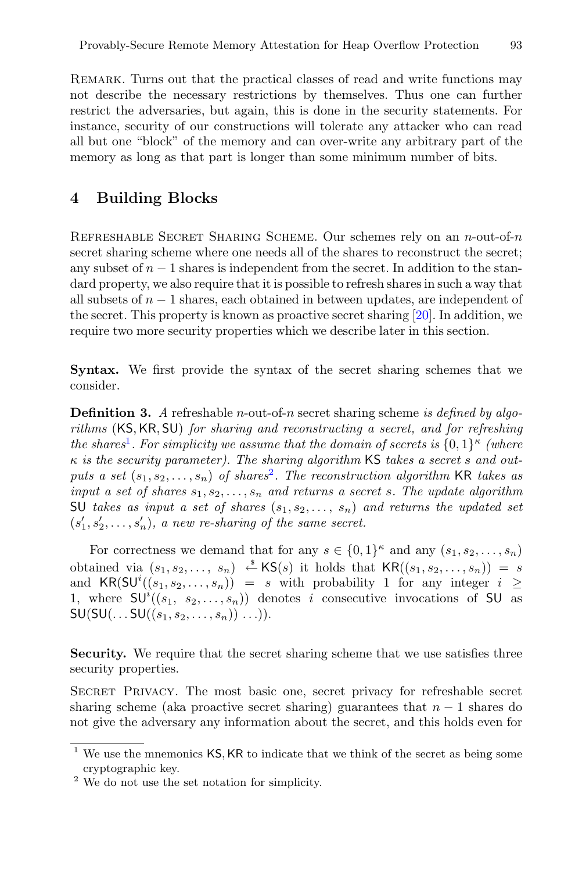REMARK. Turns out that the practical classes of read and write functions may not describe the necessary restrictions by themselves. Thus one can further restrict the adversaries, but again, this is done in the security statements. For instance, security of our constructions will tolerate any attacker who can read all but one "block" of the memory and can over-write any arbitrary part of the memory as long as that part is longer than some minimum number of bits.

### <span id="page-10-2"></span>**4 Building Blocks**

REFRESHABLE SECRET SHARING SCHEME. Our schemes rely on an  $n$ -out-of-n secret sharing scheme where one needs all of the shares to reconstruct the secret; any subset of  $n-1$  shares is independent from the secret. In addition to the standard property, we also require that it is possible to refresh shares in such a way that all subsets of  $n - 1$  shares, each obtained in between updates, are independent of the secret. This property is known as proactive secret sharing [\[20\]](#page-19-3). In addition, we require two more security properties which we describe later in this section.

**Syntax.** We first provide the syntax of the secret sharing schemes that we consider.

**Definition 3.** *A* refreshable *n*-out-of-*n* secret sharing scheme *is defined by algorithms* (KS,KR, SU) *for sharing and reconstructing a secret, and for refreshing the shares*<sup>[1](#page-10-0)</sup>. For simplicity we assume that the domain of secrets is  $\{0,1\}^{\kappa}$  (where κ *is the security parameter). The sharing algorithm* KS *takes a secret* s *and outputs a set*  $(s_1, s_2, \ldots, s_n)$  $(s_1, s_2, \ldots, s_n)$  $(s_1, s_2, \ldots, s_n)$  *of shares*<sup>2</sup>. The reconstruction algorithm KR takes as *input a set of shares*  $s_1, s_2, \ldots, s_n$  *and returns a secret s. The update algorithm* SU *takes as input a set of shares*  $(s_1, s_2, \ldots, s_n)$  *and returns the updated set*  $(s'_1, s'_2, \ldots, s'_n)$ *, a new re-sharing of the same secret.* 

For correctness we demand that for any  $s \in \{0,1\}^{\kappa}$  and any  $(s_1, s_2, \ldots, s_n)$ obtained via  $(s_1, s_2, \ldots, s_n) \leftarrow^*$  KS $(s)$  it holds that KR $((s_1, s_2, \ldots, s_n)) = s$ and  $\mathsf{KR}(\mathsf{SU}^i((s_1,s_2,\ldots,s_n)) = s$  with probability 1 for any integer  $i \geq$ 1, where  $SU^{i}((s_1, s_2,...,s_n))$  denotes i consecutive invocations of SU as  $SU(SU(\ldots SU((s_1,s_2,\ldots,s_n))\ldots)).$ 

**Security.** We require that the secret sharing scheme that we use satisfies three security properties.

Secret Privacy. The most basic one, secret privacy for refreshable secret sharing scheme (aka proactive secret sharing) guarantees that  $n-1$  shares do not give the adversary any information about the secret, and this holds even for

<span id="page-10-0"></span> $^{\rm 1}$  We use the mnemonics  $\textsf{KS}, \textsf{KR}$  to indicate that we think of the secret as being some cryptographic key.  $2$  We do not use the set notation for simplicity.

<span id="page-10-1"></span>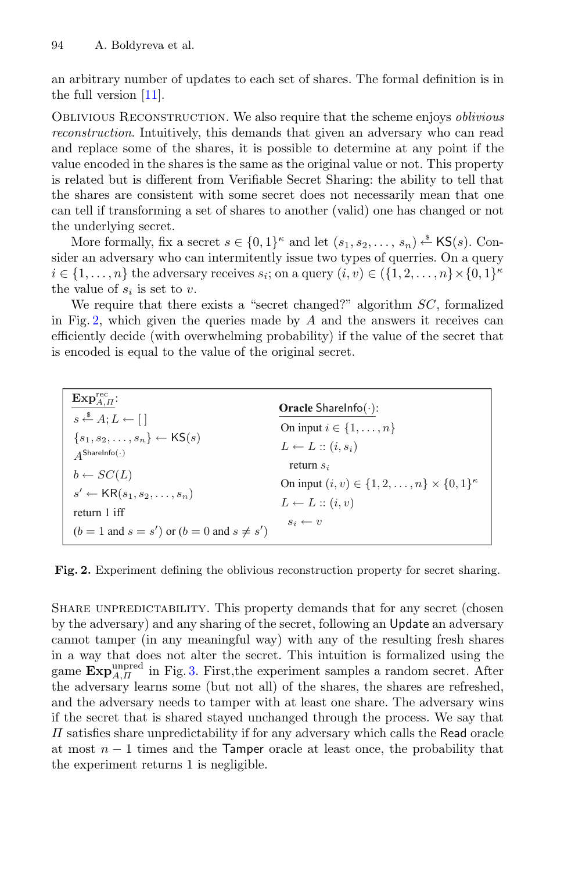an arbitrary number of updates to each set of shares. The formal definition is in the full version [\[11\]](#page-19-16).

Oblivious Reconstruction. We also require that the scheme enjoys *oblivious reconstruction*. Intuitively, this demands that given an adversary who can read and replace some of the shares, it is possible to determine at any point if the value encoded in the shares is the same as the original value or not. This property is related but is different from Verifiable Secret Sharing: the ability to tell that the shares are consistent with some secret does not necessarily mean that one can tell if transforming a set of shares to another (valid) one has changed or not the underlying secret.

More formally, fix a secret  $s \in \{0,1\}^{\kappa}$  and let  $(s_1, s_2, \ldots, s_n) \stackrel{\text{s}}{\leftarrow} \text{KS}(s)$ . Consider an adversary who can intermitently issue two types of querries. On a query  $i \in \{1,\ldots,n\}$  the adversary receives  $s_i$ ; on a query  $(i, v) \in (\{1, 2, \ldots, n\} \times \{0, 1\}^{\kappa})$ the value of  $s_i$  is set to v.

We require that there exists a "secret changed?" algorithm  $SC$ , formalized in Fig. [2,](#page-11-0) which given the queries made by  $A$  and the answers it receives can efficiently decide (with overwhelming probability) if the value of the secret that is encoded is equal to the value of the original secret.

| <b>Oracle ShareInfo(.):</b><br>$s \stackrel{\$}{\leftarrow} A; L \leftarrow [$<br>On input $i \in \{1, \ldots, n\}$<br>$\{s_1, s_2, \ldots, s_n\} \leftarrow \mathsf{KS}(s)$<br>$L \leftarrow L :: (i, s_i)$<br>$\Lambda$ ShareInfo $(\cdot)$<br>return $s_i$<br>$b \leftarrow SC(L)$<br>On input $(i, v) \in \{1, 2, , n\} \times \{0, 1\}^{\kappa}$<br>$s' \leftarrow \mathsf{KR}(s_1, s_2, \ldots, s_n)$<br>$L \leftarrow L :: (i, v)$<br>return 1 iff<br>$s_i \leftarrow v$<br>$(b = 1$ and $s = s')$ or $(b = 0$ and $s \neq s')$ |
|----------------------------------------------------------------------------------------------------------------------------------------------------------------------------------------------------------------------------------------------------------------------------------------------------------------------------------------------------------------------------------------------------------------------------------------------------------------------------------------------------------------------------------------|
|----------------------------------------------------------------------------------------------------------------------------------------------------------------------------------------------------------------------------------------------------------------------------------------------------------------------------------------------------------------------------------------------------------------------------------------------------------------------------------------------------------------------------------------|

<span id="page-11-0"></span>**Fig. 2.** Experiment defining the oblivious reconstruction property for secret sharing.

SHARE UNPREDICTABILITY. This property demands that for any secret (chosen by the adversary) and any sharing of the secret, following an Update an adversary cannot tamper (in any meaningful way) with any of the resulting fresh shares in a way that does not alter the secret. This intuition is formalized using the game  $\text{Exp}_{A,H}^{\text{unpred}}$  in Fig. [3.](#page-12-0) First, the experiment samples a random secret. After the adversary learns some (but not all) of the shares, the shares are refreshed, and the adversary needs to tamper with at least one share. The adversary wins if the secret that is shared stayed unchanged through the process. We say that  $\Pi$  satisfies share unpredictability if for any adversary which calls the Read oracle at most  $n-1$  times and the Tamper oracle at least once, the probability that the experiment returns 1 is negligible.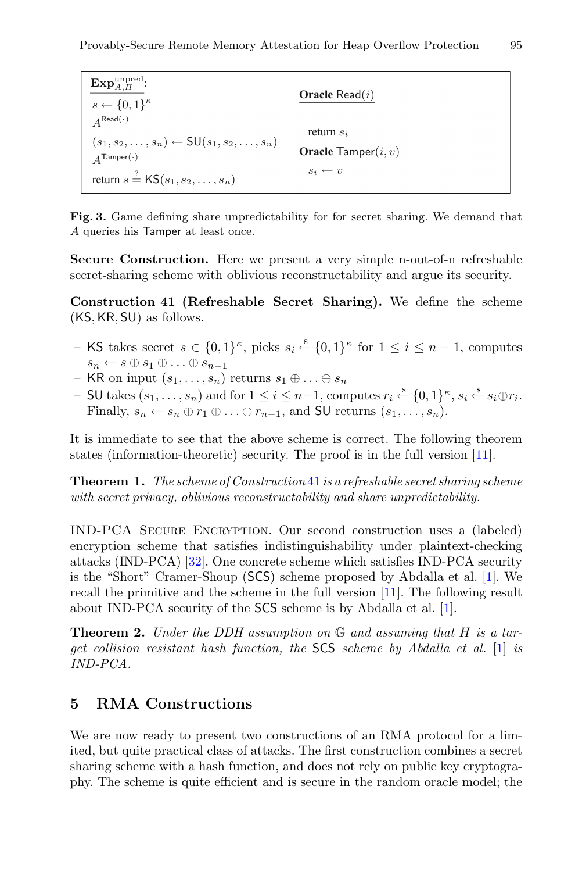| $\mathbf{Exp}_{A\Pi}^{\text{unpred}}$ :<br>$s \leftarrow \{0,1\}^{\kappa}$                                                                                                             | <b>Oracle</b> Read $(i)$                                            |
|----------------------------------------------------------------------------------------------------------------------------------------------------------------------------------------|---------------------------------------------------------------------|
| $A$ Read $(\cdot)$<br>$(s_1, s_2, \ldots, s_n) \leftarrow \mathsf{SU}(s_1, s_2, \ldots, s_n)$<br>$\Lambda$ Tamper $(\cdot)$<br>return $s \stackrel{?}{=}$ KS $(s_1, s_2, \ldots, s_n)$ | return $s_i$<br><b>Oracle</b> Tamper $(i, v)$<br>$s_i \leftarrow v$ |

<span id="page-12-0"></span>**Fig. 3.** Game defining share unpredictability for for secret sharing. We demand that A queries his Tamper at least once.

<span id="page-12-1"></span>**Secure Construction.** Here we present a very simple n-out-of-n refreshable secret-sharing scheme with oblivious reconstructability and argue its security.

**Construction 41 (Refreshable Secret Sharing).** We define the scheme  $(KS, KR, SU)$  as follows.

- $-$  KS takes secret  $s \in \{0,1\}^{\kappa}$ , picks  $s_i \stackrel{\$}{\leftarrow} \{0,1\}^{\kappa}$  for  $1 \leq i \leq n-1$ , computes  $s_n \leftarrow s \oplus s_1 \oplus \ldots \oplus s_{n-1}$
- KR on input  $(s_1,\ldots,s_n)$  returns  $s_1\oplus \ldots \oplus s_n$
- $-$  SU takes  $(s_1, \ldots, s_n)$  and for  $1 \leq i \leq n-1$ , computes  $r_i \stackrel{\$}{\leftarrow} \{0, 1\}^{\kappa}, s_i \stackrel{\$}{\leftarrow} s_i \oplus r_i$ . Finally,  $s_n \leftarrow s_n \oplus r_1 \oplus \ldots \oplus r_{n-1}$ , and SU returns  $(s_1, \ldots, s_n)$ .

It is immediate to see that the above scheme is correct. The following theorem states (information-theoretic) security. The proof is in the full version [\[11\]](#page-19-16).

**Theorem 1.** *The scheme of Construction* [41](#page-12-1) *is a refreshable secret sharing scheme with secret privacy, oblivious reconstructability and share unpredictability.*

IND-PCA Secure Encryption. Our second construction uses a (labeled) encryption scheme that satisfies indistinguishability under plaintext-checking attacks (IND-PCA) [\[32](#page-20-4)]. One concrete scheme which satisfies IND-PCA security is the "Short" Cramer-Shoup (SCS) scheme proposed by Abdalla et al. [\[1](#page-18-5)]. We recall the primitive and the scheme in the full version [\[11\]](#page-19-16). The following result about IND-PCA security of the SCS scheme is by Abdalla et al. [\[1](#page-18-5)].

<span id="page-12-2"></span>**Theorem 2.** *Under the DDH assumption on* G *and assuming that* H *is a target collision resistant hash function, the* SCS *scheme by Abdalla et al.* [\[1\]](#page-18-5) *is IND-PCA.*

### **5 RMA Constructions**

We are now ready to present two constructions of an RMA protocol for a limited, but quite practical class of attacks. The first construction combines a secret sharing scheme with a hash function, and does not rely on public key cryptography. The scheme is quite efficient and is secure in the random oracle model; the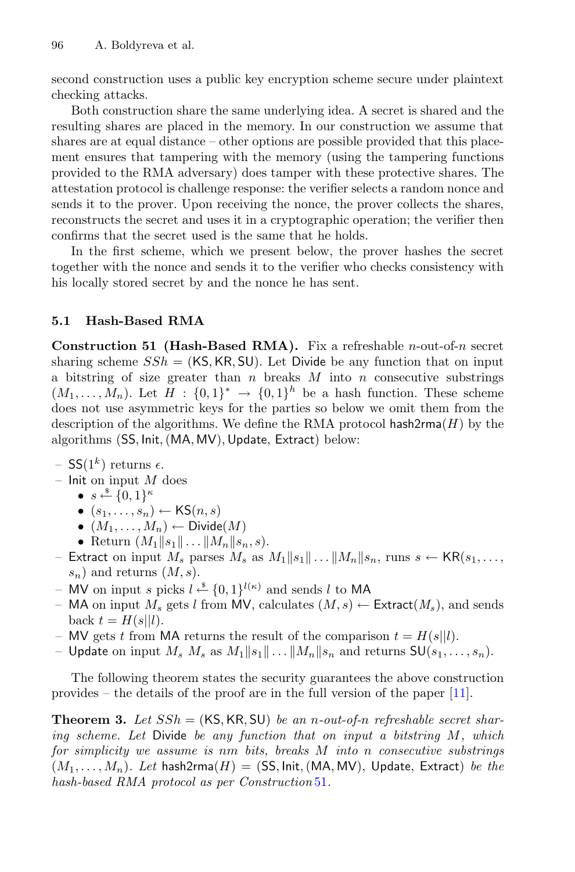second construction uses a public key encryption scheme secure under plaintext checking attacks.

Both construction share the same underlying idea. A secret is shared and the resulting shares are placed in the memory. In our construction we assume that shares are at equal distance – other options are possible provided that this placement ensures that tampering with the memory (using the tampering functions provided to the RMA adversary) does tamper with these protective shares. The attestation protocol is challenge response: the verifier selects a random nonce and sends it to the prover. Upon receiving the nonce, the prover collects the shares, reconstructs the secret and uses it in a cryptographic operation; the verifier then confirms that the secret used is the same that he holds.

In the first scheme, which we present below, the prover hashes the secret together with the nonce and sends it to the verifier who checks consistency with his locally stored secret by and the nonce he has sent.

### <span id="page-13-0"></span>**5.1 Hash-Based RMA**

**Construction 51 (Hash-Based RMA).** Fix a refreshable *n*-out-of-*n* secret sharing scheme  $SSh = (KS, KR, SU)$ . Let Divide be any function that on input a bitstring of size greater than  $n$  breaks  $M$  into  $n$  consecutive substrings  $(M_1,\ldots,M_n)$ . Let  $H: \{0,1\}^* \to \{0,1\}^h$  be a hash function. These scheme does not use asymmetric keys for the parties so below we omit them from the description of the algorithms. We define the RMA protocol hash $2r$ ma $(H)$  by the algorithms (SS, Init, (MA, MV), Update, Extract) below:

- $\mathsf{SS}(1^k)$  returns  $\epsilon$ .
- $-$  Init on input  $M$  does
	- $\bullet\;s\stackrel{\hspace{0.1em}\mathsf{\scriptscriptstyle\$}}{\leftarrow}\{0,1\}^{\kappa}$
	- $(s_1,\ldots,s_n) \leftarrow \mathsf{KS}(n,s)$
	- $(M_1,\ldots,M_n) \leftarrow \text{Divide}(M)$
	- Return  $(M_1 \| s_1 \| \dots \| M_n \| s_n, s)$ .
- Extract on input  $M_s$  parses  $M_s$  as  $M_1||s_1|| \dots ||M_n||s_n$ , runs  $s \leftarrow \text{KR}(s_1, \dots, s_n)$  $s_n$ ) and returns  $(M, s)$ .
- MV on input s picks  $l \overset{\hspace{0.1em}\mathsf{\scriptscriptstyle\$}}{\leftarrow} \{0,1\}^{l(\kappa)}$  and sends l to MA
- MA on input  $M_s$  gets l from MV, calculates  $(M, s) \leftarrow$  Extract $(M_s)$ , and sends back  $t = H(s||l)$ .
- MV gets t from MA returns the result of the comparison  $t = H(s||l)$ .
- Update on input  $M_s$   $M_s$  as  $M_1||s_1|| \dots ||M_n||s_n$  and returns  $SU(s_1,\dots,s_n)$ .

The following theorem states the security guarantees the above construction provides – the details of the proof are in the full version of the paper [\[11](#page-19-16)].

<span id="page-13-1"></span>**Theorem 3.** *Let* SSh = (KS,KR, SU) *be an* n*-out-of-*n *refreshable secret sharing scheme. Let* Divide *be any function that on input a bitstring* M*, which for simplicity we assume is* nm *bits, breaks* M *into* n *consecutive substrings*  $(M_1,\ldots,M_n)$ *. Let* hash2rma $(H)=(SS,$  Init,  $(MA, MV)$ , Update, Extract) *be the hash-based RMA protocol as per Construction* [51](#page-13-0)*.*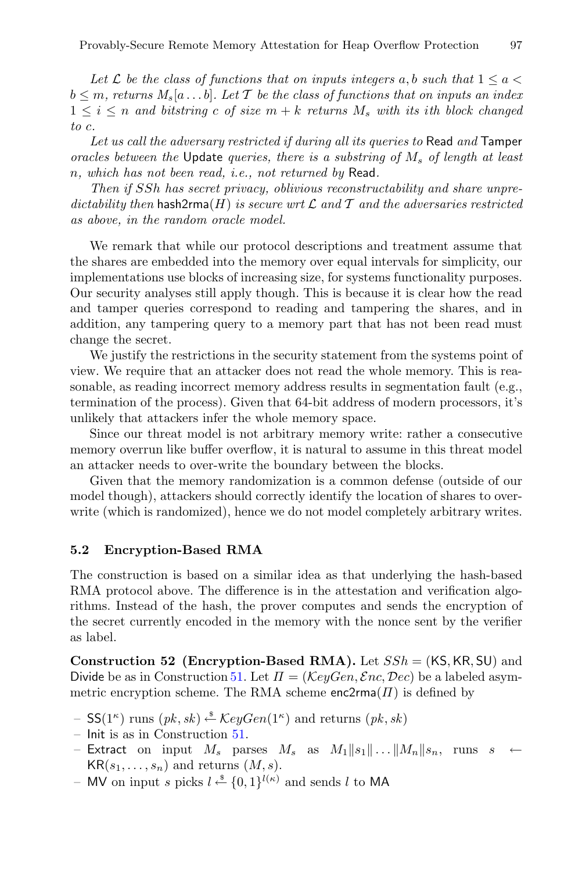Let  $\mathcal L$  be the class of functions that on inputs integers a, b such that  $1 \le a$  $b \leq m$ , returns  $M_s[a \dots b]$ . Let T be the class of functions that on inputs an index  $1 \leq i \leq n$  *and bitstring* c of size  $m + k$  returns  $M_s$  with its ith block changed *to* c*.*

*Let us call the adversary restricted if during all its queries to* Read *and* Tamper *oracles between the* Update *queries, there is a substring of*  $M_s$  *of length at least* n*, which has not been read, i.e., not returned by* Read*.*

*Then if* SSh *has secret privacy, oblivious reconstructability and share unpre* $dictability$  then hash2rma(H) is secure wrt  $\mathcal L$  and  $\mathcal T$  and the adversaries restricted *as above, in the random oracle model.*

We remark that while our protocol descriptions and treatment assume that the shares are embedded into the memory over equal intervals for simplicity, our implementations use blocks of increasing size, for systems functionality purposes. Our security analyses still apply though. This is because it is clear how the read and tamper queries correspond to reading and tampering the shares, and in addition, any tampering query to a memory part that has not been read must change the secret.

We justify the restrictions in the security statement from the systems point of view. We require that an attacker does not read the whole memory. This is reasonable, as reading incorrect memory address results in segmentation fault (e.g., termination of the process). Given that 64-bit address of modern processors, it's unlikely that attackers infer the whole memory space.

Since our threat model is not arbitrary memory write: rather a consecutive memory overrun like buffer overflow, it is natural to assume in this threat model an attacker needs to over-write the boundary between the blocks.

Given that the memory randomization is a common defense (outside of our model though), attackers should correctly identify the location of shares to overwrite (which is randomized), hence we do not model completely arbitrary writes.

#### **5.2 Encryption-Based RMA**

The construction is based on a similar idea as that underlying the hash-based RMA protocol above. The difference is in the attestation and verification algorithms. Instead of the hash, the prover computes and sends the encryption of the secret currently encoded in the memory with the nonce sent by the verifier as label.

<span id="page-14-0"></span>**Construction 52 (Encryption-Based RMA).** Let  $SSh = (KS, KR, SU)$  and Divide be as in Construction [51.](#page-13-0) Let  $\Pi = (KeyGen, Enc, Dec)$  be a labeled asymmetric encryption scheme. The RMA scheme  $enc2rma(\Pi)$  is defined by

- $-$  SS(1<sup> $\kappa$ </sup>) runs (*pk*, *sk*)  $\stackrel{\$}{\leftarrow}$  KeyGen(1<sup> $\kappa$ </sup>) and returns (*pk*, *sk*)
- Init is as in Construction [51.](#page-13-0)
- Extract on input  $M_s$  parses  $M_s$  as  $M_1||s_1|| \dots ||M_n||s_n$ , runs  $s \leftarrow$  $KR(s_1,\ldots,s_n)$  and returns  $(M,s)$ .
- MV on input s picks  $l \stackrel{\text{*}}{\leftarrow} \{0,1\}^{l(\kappa)}$  and sends l to MA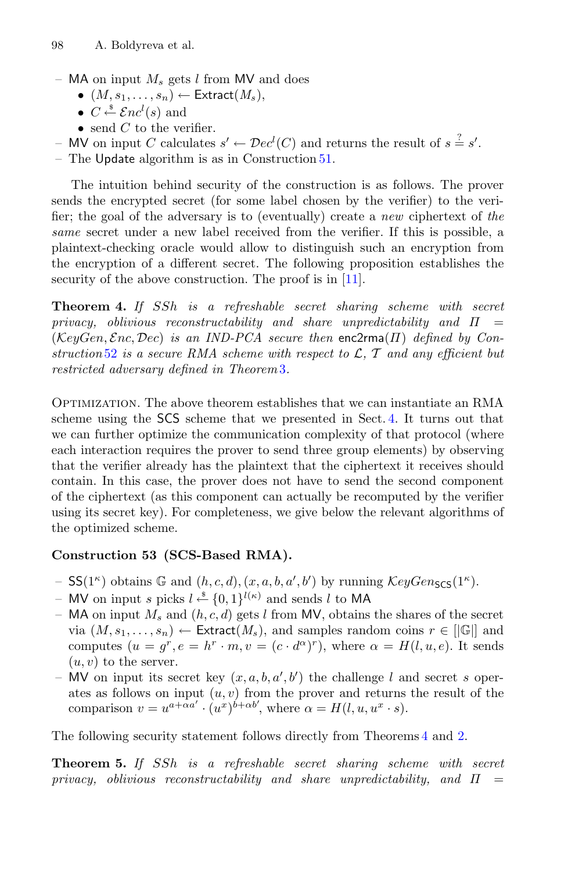- MA on input  $M_s$  gets l from MV and does
	- $(M, s_1, \ldots, s_n) \leftarrow$  Extract $(M_s)$ ,
	- $C \stackrel{\hspace{0.1em}\mathsf{\scriptscriptstyle\$}}{\leftarrow} \mathcal{E}nc^{l}(s)$  and
	- send  $C$  to the verifier.
- MV on input C calculates  $s' \leftarrow \mathcal{D}ee^l(C)$  and returns the result of  $s = s'$ .
- The Update algorithm is as in Construction [51.](#page-13-0)

The intuition behind security of the construction is as follows. The prover sends the encrypted secret (for some label chosen by the verifier) to the verifier; the goal of the adversary is to (eventually) create a *new* ciphertext of *the same* secret under a new label received from the verifier. If this is possible, a plaintext-checking oracle would allow to distinguish such an encryption from the encryption of a different secret. The following proposition establishes the security of the above construction. The proof is in [\[11](#page-19-16)].

<span id="page-15-0"></span>**Theorem 4.** *If* SSh *is a refreshable secret sharing scheme with secret privacy, oblivious reconstructability and share unpredictability and* Π =  $(KeyGen, Enc, Dec)$  *is an IND-PCA secure then* enc2rma $(\Pi)$  *defined by Construction* [52](#page-14-0) *is a secure RMA scheme with respect to* L*,* T *and any efficient but restricted adversary defined in Theorem* [3](#page-13-1)*.*

OPTIMIZATION. The above theorem establishes that we can instantiate an RMA scheme using the SCS scheme that we presented in Sect. [4.](#page-10-2) It turns out that we can further optimize the communication complexity of that protocol (where each interaction requires the prover to send three group elements) by observing that the verifier already has the plaintext that the ciphertext it receives should contain. In this case, the prover does not have to send the second component of the ciphertext (as this component can actually be recomputed by the verifier using its secret key). For completeness, we give below the relevant algorithms of the optimized scheme.

#### <span id="page-15-1"></span>**Construction 53 (SCS-Based RMA).**

- $-$  SS(1<sup> $\kappa$ </sup>) obtains  $\mathbb G$  and  $(h, c, d), (x, a, b, a', b')$  by running  $\mathcal{K}eyGen_{\mathsf{SCS}}(1^{\kappa})$ .
- MV on input s picks  $l \stackrel{\$}{\leftarrow} \{0,1\}^{l(\kappa)}$  and sends l to MA
- MA on input  $M_s$  and  $(h, c, d)$  gets l from MV, obtains the shares of the secret via  $(M, s_1, \ldots, s_n) \leftarrow$  Extract $(M_s)$ , and samples random coins  $r \in ||\mathbb{G}||$  and computes  $(u = g^r, e = h^r \cdot m, v = (c \cdot d^{\alpha})^r$ , where  $\alpha = H(l, u, e)$ . It sends  $(u, v)$  to the server.
- MV on input its secret key  $(x, a, b, a', b')$  the challenge l and secret s operates as follows on input  $(u, v)$  from the prover and returns the result of the comparison  $v = u^{a + \alpha a'} \cdot (u^x)^{b + \alpha b'}$ , where  $\alpha = H(l, u, u^x \cdot s)$ .

The following security statement follows directly from Theorems [4](#page-15-0) and [2.](#page-12-2)

**Theorem 5.** *If* SSh *is a refreshable secret sharing scheme with secret privacy, oblivious reconstructability and share unpredictability, and* Π =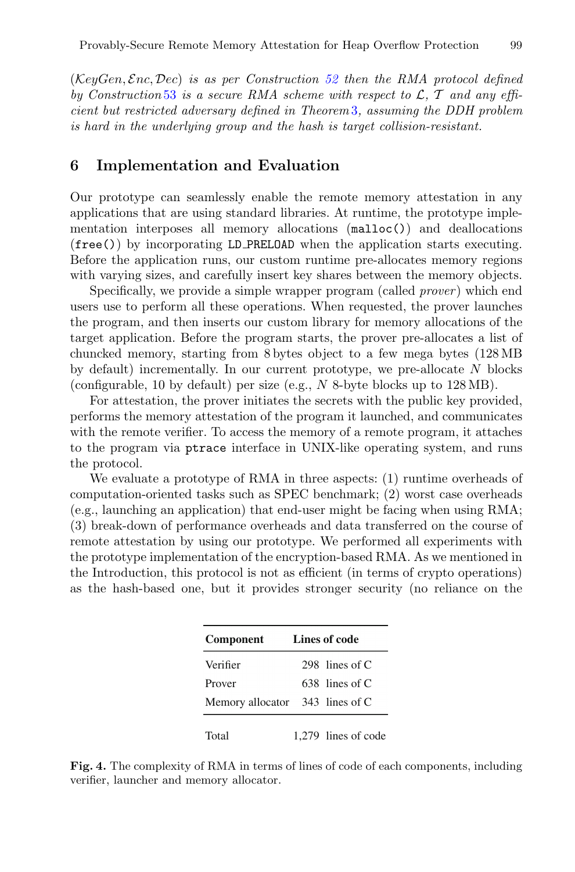(KeyGen, Enc, Dec) *is as per Construction [52](#page-14-0) then the RMA protocol defined by Construction* [53](#page-15-1) *is a secure RMA scheme with respect to* L*,* T *and any efficient but restricted adversary defined in Theorem* [3](#page-13-1)*, assuming the DDH problem is hard in the underlying group and the hash is target collision-resistant.*

#### **6 Implementation and Evaluation**

Our prototype can seamlessly enable the remote memory attestation in any applications that are using standard libraries. At runtime, the prototype implementation interposes all memory allocations (malloc()) and deallocations (free()) by incorporating LD PRELOAD when the application starts executing. Before the application runs, our custom runtime pre-allocates memory regions with varying sizes, and carefully insert key shares between the memory objects.

Specifically, we provide a simple wrapper program (called *prover*) which end users use to perform all these operations. When requested, the prover launches the program, and then inserts our custom library for memory allocations of the target application. Before the program starts, the prover pre-allocates a list of chuncked memory, starting from 8 bytes object to a few mega bytes (128 MB by default) incrementally. In our current prototype, we pre-allocate  $N$  blocks (configurable, 10 by default) per size (e.g., N 8-byte blocks up to 128 MB).

For attestation, the prover initiates the secrets with the public key provided, performs the memory attestation of the program it launched, and communicates with the remote verifier. To access the memory of a remote program, it attaches to the program via ptrace interface in UNIX-like operating system, and runs the protocol.

We evaluate a prototype of RMA in three aspects: (1) runtime overheads of computation-oriented tasks such as SPEC benchmark; (2) worst case overheads (e.g., launching an application) that end-user might be facing when using RMA; (3) break-down of performance overheads and data transferred on the course of remote attestation by using our prototype. We performed all experiments with the prototype implementation of the encryption-based RMA. As we mentioned in the Introduction, this protocol is not as efficient (in terms of crypto operations) as the hash-based one, but it provides stronger security (no reliance on the

| Component                       | Lines of code |                     |  |  |
|---------------------------------|---------------|---------------------|--|--|
| Verifier                        |               | 298 lines of $C$    |  |  |
| Prover                          |               | $638$ lines of C    |  |  |
| Memory allocator 343 lines of C |               |                     |  |  |
| Total                           |               | 1,279 lines of code |  |  |

**Fig. 4.** The complexity of RMA in terms of lines of code of each components, including verifier, launcher and memory allocator.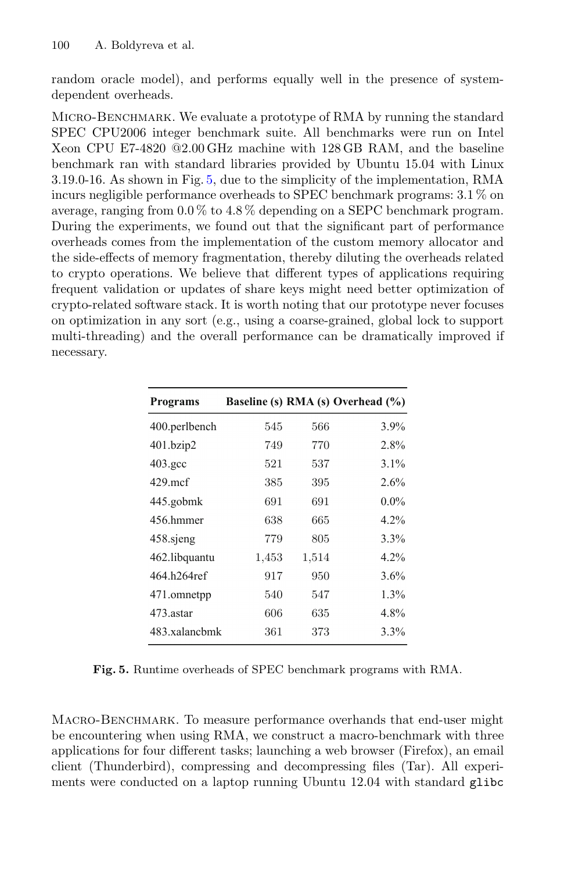random oracle model), and performs equally well in the presence of systemdependent overheads.

MICRO-BENCHMARK. We evaluate a prototype of RMA by running the standard SPEC CPU2006 integer benchmark suite. All benchmarks were run on Intel Xeon CPU E7-4820 @2.00 GHz machine with 128 GB RAM, and the baseline benchmark ran with standard libraries provided by Ubuntu 15.04 with Linux 3.19.0-16. As shown in Fig. [5,](#page-17-0) due to the simplicity of the implementation, RMA incurs negligible performance overheads to SPEC benchmark programs: 3.1 % on average, ranging from  $0.0\%$  to  $4.8\%$  depending on a SEPC benchmark program. During the experiments, we found out that the significant part of performance overheads comes from the implementation of the custom memory allocator and the side-effects of memory fragmentation, thereby diluting the overheads related to crypto operations. We believe that different types of applications requiring frequent validation or updates of share keys might need better optimization of crypto-related software stack. It is worth noting that our prototype never focuses on optimization in any sort (e.g., using a coarse-grained, global lock to support multi-threading) and the overall performance can be dramatically improved if necessary.

| <b>Programs</b>  |       |       | Baseline (s) RMA (s) Overhead $(\%$ ) |
|------------------|-------|-------|---------------------------------------|
| 400.perlbench    | 545   | 566   | 3.9%                                  |
| 401.bzip2        | 749   | 770   | 2.8%                                  |
| $403.\text{gcc}$ | 521   | 537   | $3.1\%$                               |
| 429 mef          | 385   | 395   | 2.6%                                  |
| 445.gobmk        | 691   | 691   | $0.0\%$                               |
| 456 hmmer        | 638   | 665   | $4.2\%$                               |
| 458 sjeng        | 779   | 805   | $3.3\%$                               |
| 462.libquantu    | 1,453 | 1,514 | 4.2%                                  |
| 464.h264ref      | 917   | 950   | $3.6\%$                               |
| 471.omnetpp      | 540   | 547   | 1.3%                                  |
| 473 astar        | 606   | 635   | 4.8%                                  |
| 483 xalanchmk    | 361   | 373   | $3.3\%$                               |

<span id="page-17-0"></span>**Fig. 5.** Runtime overheads of SPEC benchmark programs with RMA.

MACRO-BENCHMARK. To measure performance overhands that end-user might be encountering when using RMA, we construct a macro-benchmark with three applications for four different tasks; launching a web browser (Firefox), an email client (Thunderbird), compressing and decompressing files (Tar). All experiments were conducted on a laptop running Ubuntu 12.04 with standard glibc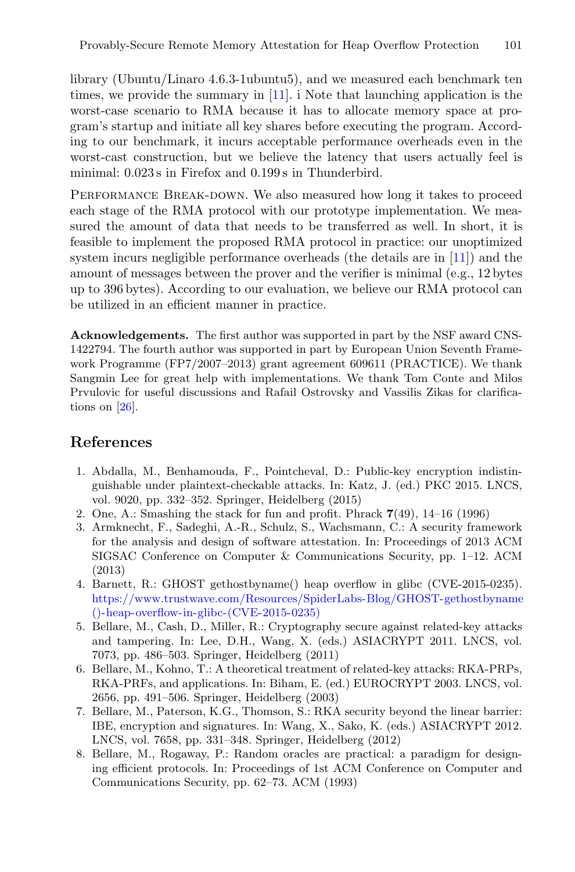library (Ubuntu/Linaro 4.6.3-1ubuntu5), and we measured each benchmark ten times, we provide the summary in [\[11](#page-19-16)]. i Note that launching application is the worst-case scenario to RMA because it has to allocate memory space at program's startup and initiate all key shares before executing the program. According to our benchmark, it incurs acceptable performance overheads even in the worst-cast construction, but we believe the latency that users actually feel is minimal: 0.023 s in Firefox and 0.199 s in Thunderbird.

PERFORMANCE BREAK-DOWN. We also measured how long it takes to proceed each stage of the RMA protocol with our prototype implementation. We measured the amount of data that needs to be transferred as well. In short, it is feasible to implement the proposed RMA protocol in practice: our unoptimized system incurs negligible performance overheads (the details are in [\[11](#page-19-16)]) and the amount of messages between the prover and the verifier is minimal (e.g., 12 bytes up to 396 bytes). According to our evaluation, we believe our RMA protocol can be utilized in an efficient manner in practice.

**Acknowledgements.** The first author was supported in part by the NSF award CNS-1422794. The fourth author was supported in part by European Union Seventh Framework Programme (FP7/2007–2013) grant agreement 609611 (PRACTICE). We thank Sangmin Lee for great help with implementations. We thank Tom Conte and Milos Prvulovic for useful discussions and Rafail Ostrovsky and Vassilis Zikas for clarifications on [\[26\]](#page-20-13).

### <span id="page-18-5"></span>**References**

- 1. Abdalla, M., Benhamouda, F., Pointcheval, D.: Public-key encryption indistinguishable under plaintext-checkable attacks. In: Katz, J. (ed.) PKC 2015. LNCS, vol. 9020, pp. 332–352. Springer, Heidelberg (2015)
- <span id="page-18-6"></span>2. One, A.: Smashing the stack for fun and profit. Phrack **7**(49), 14–16 (1996)
- <span id="page-18-7"></span>3. Armknecht, F., Sadeghi, A.-R., Schulz, S., Wachsmann, C.: A security framework for the analysis and design of software attestation. In: Proceedings of 2013 ACM SIGSAC Conference on Computer & Communications Security, pp. 1–12. ACM (2013)
- <span id="page-18-0"></span>4. Barnett, R.: GHOST gethostbyname() heap overflow in glibc (CVE-2015-0235). [https://www.trustwave.com/Resources/SpiderLabs-Blog/GHOST-gethostbyname](https://www.trustwave.com/Resources/SpiderLabs-Blog/GHOST-gethostbyname()-heap-overflow-in-glibc-(CVE-2015-0235)) [\(\)-heap-overflow-in-glibc-\(CVE-2015-0235\)](https://www.trustwave.com/Resources/SpiderLabs-Blog/GHOST-gethostbyname()-heap-overflow-in-glibc-(CVE-2015-0235))
- <span id="page-18-3"></span>5. Bellare, M., Cash, D., Miller, R.: Cryptography secure against related-key attacks and tampering. In: Lee, D.H., Wang, X. (eds.) ASIACRYPT 2011. LNCS, vol. 7073, pp. 486–503. Springer, Heidelberg (2011)
- <span id="page-18-2"></span>6. Bellare, M., Kohno, T.: A theoretical treatment of related-key attacks: RKA-PRPs, RKA-PRFs, and applications. In: Biham, E. (ed.) EUROCRYPT 2003. LNCS, vol. 2656, pp. 491–506. Springer, Heidelberg (2003)
- <span id="page-18-4"></span>7. Bellare, M., Paterson, K.G., Thomson, S.: RKA security beyond the linear barrier: IBE, encryption and signatures. In: Wang, X., Sako, K. (eds.) ASIACRYPT 2012. LNCS, vol. 7658, pp. 331–348. Springer, Heidelberg (2012)
- <span id="page-18-1"></span>8. Bellare, M., Rogaway, P.: Random oracles are practical: a paradigm for designing efficient protocols. In: Proceedings of 1st ACM Conference on Computer and Communications Security, pp. 62–73. ACM (1993)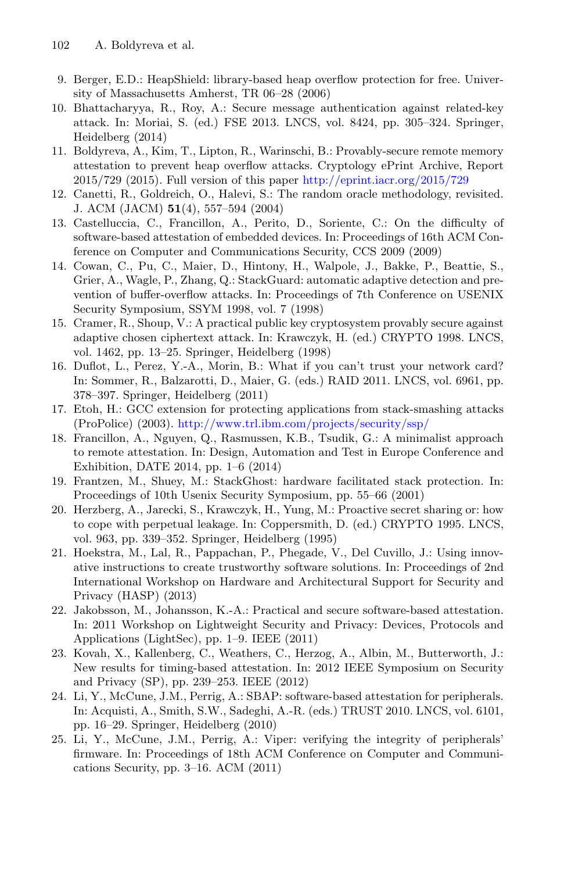- <span id="page-19-8"></span>9. Berger, E.D.: HeapShield: library-based heap overflow protection for free. University of Massachusetts Amherst, TR 06–28 (2006)
- <span id="page-19-5"></span>10. Bhattacharyya, R., Roy, A.: Secure message authentication against related-key attack. In: Moriai, S. (ed.) FSE 2013. LNCS, vol. 8424, pp. 305–324. Springer, Heidelberg (2014)
- <span id="page-19-16"></span>11. Boldyreva, A., Kim, T., Lipton, R., Warinschi, B.: Provably-secure remote memory attestation to prevent heap overflow attacks. Cryptology ePrint Archive, Report 2015/729 (2015). Full version of this paper <http://eprint.iacr.org/2015/729>
- <span id="page-19-4"></span>12. Canetti, R., Goldreich, O., Halevi, S.: The random oracle methodology, revisited. J. ACM (JACM) **51**(4), 557–594 (2004)
- <span id="page-19-12"></span>13. Castelluccia, C., Francillon, A., Perito, D., Soriente, C.: On the difficulty of software-based attestation of embedded devices. In: Proceedings of 16th ACM Conference on Computer and Communications Security, CCS 2009 (2009)
- <span id="page-19-0"></span>14. Cowan, C., Pu, C., Maier, D., Hintony, H., Walpole, J., Bakke, P., Beattie, S., Grier, A., Wagle, P., Zhang, Q.: StackGuard: automatic adaptive detection and prevention of buffer-overflow attacks. In: Proceedings of 7th Conference on USENIX Security Symposium, SSYM 1998, vol. 7 (1998)
- <span id="page-19-6"></span>15. Cramer, R., Shoup, V.: A practical public key cryptosystem provably secure against adaptive chosen ciphertext attack. In: Krawczyk, H. (ed.) CRYPTO 1998. LNCS, vol. 1462, pp. 13–25. Springer, Heidelberg (1998)
- <span id="page-19-9"></span>16. Duflot, L., Perez, Y.-A., Morin, B.: What if you can't trust your network card? In: Sommer, R., Balzarotti, D., Maier, G. (eds.) RAID 2011. LNCS, vol. 6961, pp. 378–397. Springer, Heidelberg (2011)
- <span id="page-19-1"></span>17. Etoh, H.: GCC extension for protecting applications from stack-smashing attacks (ProPolice) (2003). <http://www.trl.ibm.com/projects/security/ssp/>
- <span id="page-19-7"></span>18. Francillon, A., Nguyen, Q., Rasmussen, K.B., Tsudik, G.: A minimalist approach to remote attestation. In: Design, Automation and Test in Europe Conference and Exhibition, DATE 2014, pp. 1–6 (2014)
- <span id="page-19-2"></span>19. Frantzen, M., Shuey, M.: StackGhost: hardware facilitated stack protection. In: Proceedings of 10th Usenix Security Symposium, pp. 55–66 (2001)
- <span id="page-19-3"></span>20. Herzberg, A., Jarecki, S., Krawczyk, H., Yung, M.: Proactive secret sharing or: how to cope with perpetual leakage. In: Coppersmith, D. (ed.) CRYPTO 1995. LNCS, vol. 963, pp. 339–352. Springer, Heidelberg (1995)
- <span id="page-19-15"></span>21. Hoekstra, M., Lal, R., Pappachan, P., Phegade, V., Del Cuvillo, J.: Using innovative instructions to create trustworthy software solutions. In: Proceedings of 2nd International Workshop on Hardware and Architectural Support for Security and Privacy (HASP) (2013)
- <span id="page-19-14"></span>22. Jakobsson, M., Johansson, K.-A.: Practical and secure software-based attestation. In: 2011 Workshop on Lightweight Security and Privacy: Devices, Protocols and Applications (LightSec), pp. 1–9. IEEE (2011)
- <span id="page-19-10"></span>23. Kovah, X., Kallenberg, C., Weathers, C., Herzog, A., Albin, M., Butterworth, J.: New results for timing-based attestation. In: 2012 IEEE Symposium on Security and Privacy (SP), pp. 239–253. IEEE (2012)
- <span id="page-19-13"></span>24. Li, Y., McCune, J.M., Perrig, A.: SBAP: software-based attestation for peripherals. In: Acquisti, A., Smith, S.W., Sadeghi, A.-R. (eds.) TRUST 2010. LNCS, vol. 6101, pp. 16–29. Springer, Heidelberg (2010)
- <span id="page-19-11"></span>25. Li, Y., McCune, J.M., Perrig, A.: Viper: verifying the integrity of peripherals' firmware. In: Proceedings of 18th ACM Conference on Computer and Communications Security, pp. 3–16. ACM (2011)